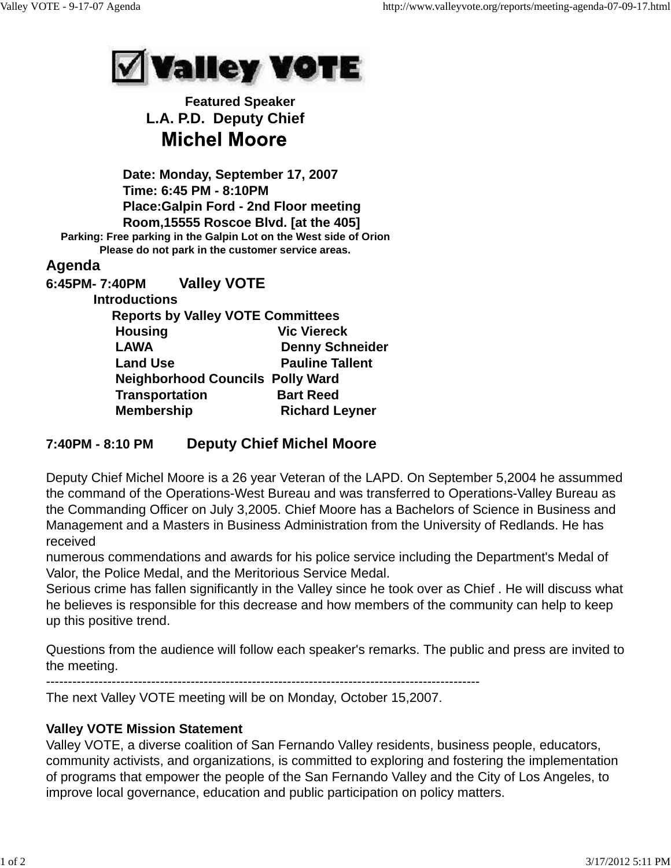

## **Featured Speaker L.A. P.D. Deputy Chief Michel Moore**

 **Date: Monday, September 17, 2007 Time: 6:45 PM - 8:10PM Place:Galpin Ford - 2nd Floor meeting Room,15555 Roscoe Blvd. [at the 405] Parking: Free parking in the Galpin Lot on the West side of Orion Please do not park in the customer service areas. Agenda 6:45PM- 7:40PM Valley VOTE Introductions Reports by Valley VOTE Committees Housing Vic Viereck** LAWA Denny Schneider **Land Use Construction Callent Neighborhood Councils Polly Ward Transportation Bart Reed Membership Richard Leyner** 

## **7:40PM - 8:10 PM Deputy Chief Michel Moore**

Deputy Chief Michel Moore is a 26 year Veteran of the LAPD. On September 5,2004 he assummed the command of the Operations-West Bureau and was transferred to Operations-Valley Bureau as the Commanding Officer on July 3,2005. Chief Moore has a Bachelors of Science in Business and Management and a Masters in Business Administration from the University of Redlands. He has received

numerous commendations and awards for his police service including the Department's Medal of Valor, the Police Medal, and the Meritorious Service Medal.

Serious crime has fallen significantly in the Valley since he took over as Chief . He will discuss what he believes is responsible for this decrease and how members of the community can help to keep up this positive trend.

Questions from the audience will follow each speaker's remarks. The public and press are invited to the meeting.

---------------------------------------------------------------------------------------------------

The next Valley VOTE meeting will be on Monday, October 15,2007.

## **Valley VOTE Mission Statement**

Valley VOTE, a diverse coalition of San Fernando Valley residents, business people, educators, community activists, and organizations, is committed to exploring and fostering the implementation of programs that empower the people of the San Fernando Valley and the City of Los Angeles, to improve local governance, education and public participation on policy matters.